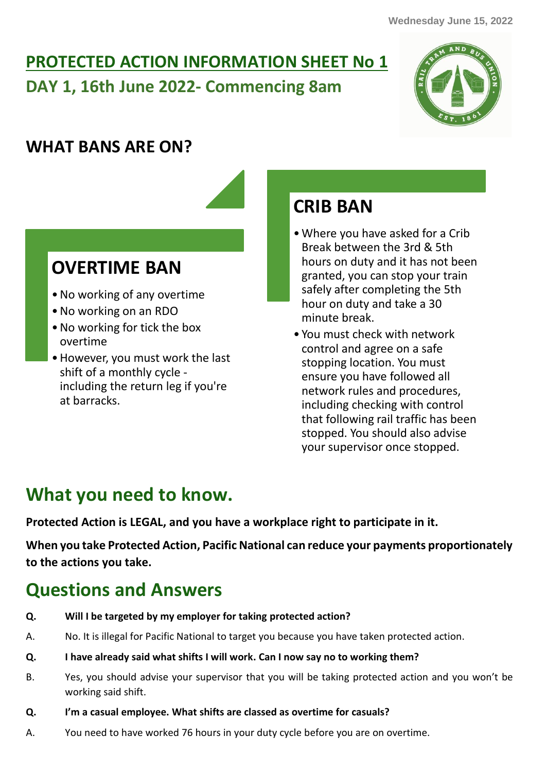# **PROTECTED ACTION INFORMATION SHEET No 1 DAY 1, 16th June 2022- Commencing 8am**



## **WHAT BANS ARE ON?**

### **OVERTIME BAN**

- •No working of any overtime
- •No working on an RDO
- •No working for tick the box overtime
- •However, you must work the last shift of a monthly cycle including the return leg if you're at barracks.

# **CRIB BAN**

- •Where you have asked for a Crib Break between the 3rd & 5th hours on duty and it has not been granted, you can stop your train safely after completing the 5th hour on duty and take a 30 minute break.
- You must check with network control and agree on a safe stopping location. You must ensure you have followed all network rules and procedures, including checking with control that following rail traffic has been stopped. You should also advise your supervisor once stopped.

## **What you need to know.**

**Protected Action is LEGAL, and you have a workplace right to participate in it.**

**When you take Protected Action, Pacific National can reduce your payments proportionately to the actions you take.**

# **Questions and Answers**

- **Q. Will I be targeted by my employer for taking protected action?**
- A. No. It is illegal for Pacific National to target you because you have taken protected action.
- **Q. I have already said what shifts I will work. Can I now say no to working them?**
- B. Yes, you should advise your supervisor that you will be taking protected action and you won't be working said shift.
- **Q. I'm a casual employee. What shifts are classed as overtime for casuals?**
- A. You need to have worked 76 hours in your duty cycle before you are on overtime.